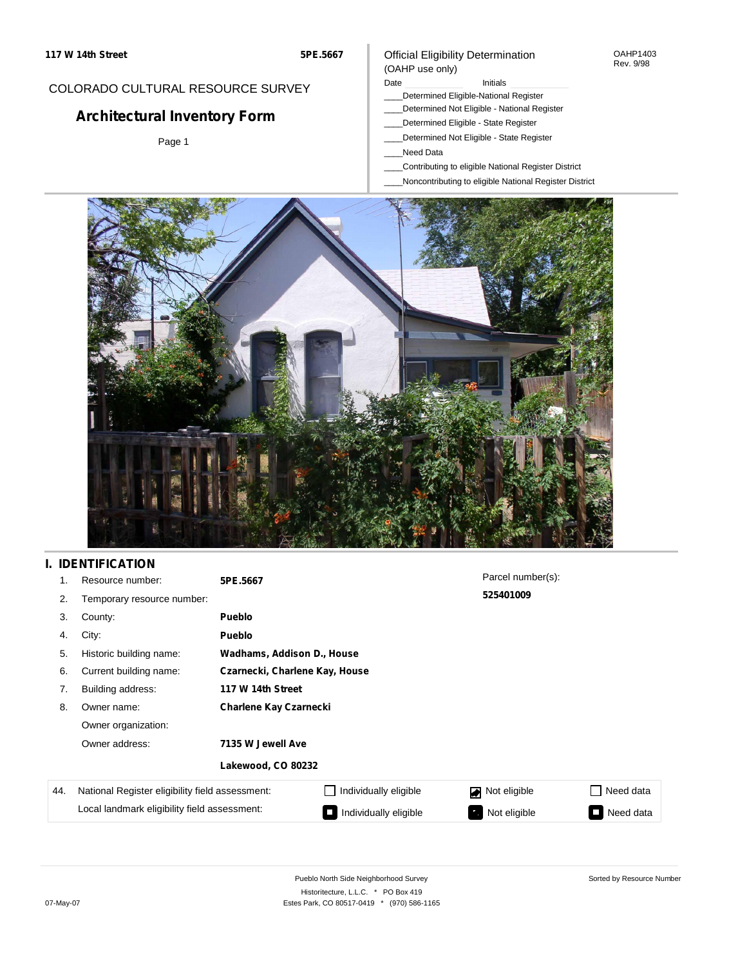#### OAHP1403 Rev. 9/98

## COLORADO CULTURAL RESOURCE SURVEY

# **Architectural Inventory Form**

Page 1

#### (OAHP use only) Date **Initials** Initials

Official Eligibility Determination

- \_\_\_\_Determined Eligible-National Register
- \_\_\_\_Determined Not Eligible National Register
- \_\_\_\_Determined Eligible State Register
- \_\_\_\_Determined Not Eligible State Register
- \_\_\_\_Need Data
- \_\_\_\_Contributing to eligible National Register District
- \_\_\_\_Noncontributing to eligible National Register District



# **I. IDENTIFICATION**

| 1.  | Resource number:                                | 5PE.5667                       |                            | Parcel number(s): |           |  |  |  |
|-----|-------------------------------------------------|--------------------------------|----------------------------|-------------------|-----------|--|--|--|
| 2.  | Temporary resource number:                      | 525401009                      |                            |                   |           |  |  |  |
| 3.  | County:                                         | Pueblo                         |                            |                   |           |  |  |  |
| 4.  | City:                                           | <b>Pueblo</b>                  |                            |                   |           |  |  |  |
| 5.  | Historic building name:                         |                                | Wadhams, Addison D., House |                   |           |  |  |  |
| 6.  | Current building name:                          | Czarnecki, Charlene Kay, House |                            |                   |           |  |  |  |
| 7.  | Building address:                               | 117 W 14th Street              |                            |                   |           |  |  |  |
| 8.  | Owner name:                                     | <b>Charlene Kay Czarnecki</b>  |                            |                   |           |  |  |  |
|     | Owner organization:                             |                                |                            |                   |           |  |  |  |
|     | Owner address:                                  | 7135 W Jewell Ave              |                            |                   |           |  |  |  |
|     |                                                 | Lakewood, CO 80232             |                            |                   |           |  |  |  |
| 44. | National Register eligibility field assessment: |                                | Individually eligible      | Not eligible      | Need data |  |  |  |
|     | Local landmark eligibility field assessment:    |                                | Individually eligible      | Not eligible      | Need data |  |  |  |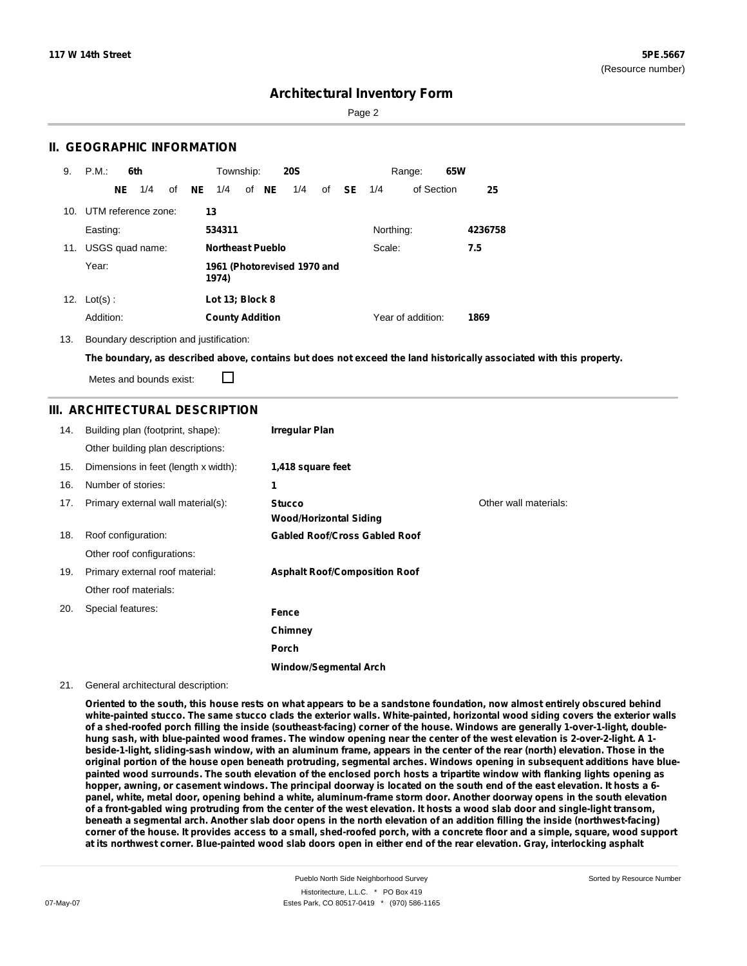Page 2

## **II. GEOGRAPHIC INFORMATION**

| 9.  | P.M.       |     | 6th<br>Township:<br><b>20S</b><br>Range: |    | 65W |                                      |  |       |     |     |           |           |                   |  |         |
|-----|------------|-----|------------------------------------------|----|-----|--------------------------------------|--|-------|-----|-----|-----------|-----------|-------------------|--|---------|
|     |            | NE. | 1/4                                      | of | NE  | 1/4                                  |  | of NE | 1/4 | of  | <b>SE</b> | 1/4       | of Section        |  | 25      |
|     |            |     | 10. UTM reference zone:                  |    |     | 13                                   |  |       |     |     |           |           |                   |  |         |
|     | Easting:   |     |                                          |    |     | 534311                               |  |       |     |     |           | Northing: |                   |  | 4236758 |
| 11. |            |     | USGS quad name:                          |    |     | <b>Northeast Pueblo</b><br>Scale:    |  |       |     | 7.5 |           |           |                   |  |         |
|     | Year:      |     |                                          |    |     | 1961 (Photorevised 1970 and<br>1974) |  |       |     |     |           |           |                   |  |         |
| 12. | $Lot(s)$ : |     |                                          |    |     | Lot 13; Block 8                      |  |       |     |     |           |           |                   |  |         |
|     | Addition:  |     |                                          |    |     | <b>County Addition</b>               |  |       |     |     |           |           | Year of addition: |  | 1869    |

13. Boundary description and justification:

The boundary, as described above, contains but does not exceed the land historically associated with this property.

Metes and bounds exist:

П

### **III. ARCHITECTURAL DESCRIPTION**

| 14. | Building plan (footprint, shape):    | <b>Irregular Plan</b>                          |                       |
|-----|--------------------------------------|------------------------------------------------|-----------------------|
|     | Other building plan descriptions:    |                                                |                       |
| 15. | Dimensions in feet (length x width): | 1,418 square feet                              |                       |
| 16. | Number of stories:                   | 1                                              |                       |
| 17. | Primary external wall material(s):   | <b>Stucco</b><br><b>Wood/Horizontal Siding</b> | Other wall materials: |
| 18. | Roof configuration:                  | <b>Gabled Roof/Cross Gabled Roof</b>           |                       |
|     | Other roof configurations:           |                                                |                       |
| 19. | Primary external roof material:      | <b>Asphalt Roof/Composition Roof</b>           |                       |
|     | Other roof materials:                |                                                |                       |
| 20. | Special features:                    | Fence                                          |                       |
|     |                                      | Chimney                                        |                       |
|     |                                      | Porch                                          |                       |
|     |                                      | Window/Seamental Arch                          |                       |

#### 21. General architectural description:

Oriented to the south, this house rests on what appears to be a sandstone foundation, now almost entirely obscured behind white-painted stucco. The same stucco clads the exterior walls. White-painted, horizontal wood siding covers the exterior walls of a shed-roofed porch filling the inside (southeast-facing) corner of the house. Windows are generally 1-over-1-light, doublehung sash, with blue-painted wood frames. The window opening near the center of the west elevation is 2-over-2-light. A 1beside-1-light, sliding-sash window, with an aluminum frame, appears in the center of the rear (north) elevation. Those in the original portion of the house open beneath protruding, segmental arches. Windows opening in subsequent additions have bluepainted wood surrounds. The south elevation of the enclosed porch hosts a tripartite window with flanking lights opening as hopper, awning, or casement windows. The principal doorway is located on the south end of the east elevation. It hosts a 6panel, white, metal door, opening behind a white, aluminum-frame storm door. Another doorway opens in the south elevation of a front-gabled wing protruding from the center of the west elevation. It hosts a wood slab door and single-light transom, beneath a segmental arch. Another slab door opens in the north elevation of an addition filling the inside (northwest-facing) corner of the house. It provides access to a small, shed-roofed porch, with a concrete floor and a simple, square, wood support at its northwest corner. Blue-painted wood slab doors open in either end of the rear elevation. Gray, interlocking asphalt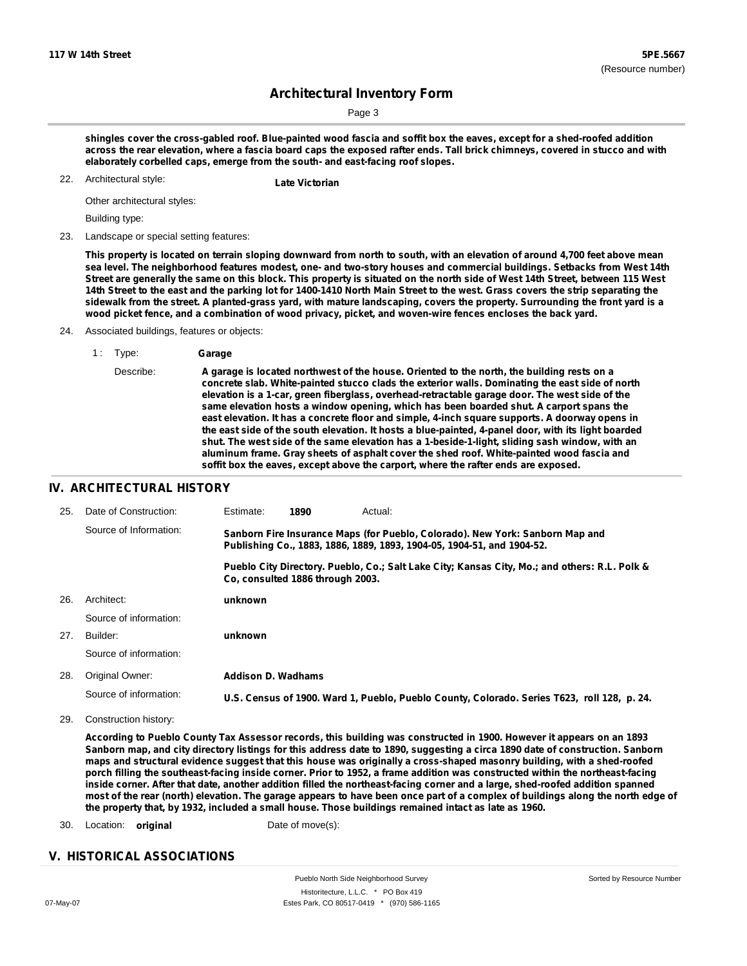Page 3

shingles cover the cross-gabled roof. Blue-painted wood fascia and soffit box the eaves, except for a shed-roofed addition across the rear elevation, where a fascia board caps the exposed rafter ends. Tall brick chimneys, covered in stucco and with **elaborately corbelled caps, emerge from the south- and east-facing roof slopes.**

Architectural style: 22. **Late Victorian**

Other architectural styles:

Building type:

23. Landscape or special setting features:

This property is located on terrain sloping downward from north to south, with an elevation of around 4,700 feet above mean sea level. The neighborhood features modest, one- and two-story houses and commercial buildings. Setbacks from West 14th Street are generally the same on this block. This property is situated on the north side of West 14th Street, between 115 West 14th Street to the east and the parking lot for 1400-1410 North Main Street to the west. Grass covers the strip separating the sidewalk from the street. A planted-grass yard, with mature landscaping, covers the property. Surrounding the front yard is a wood picket fence, and a combination of wood privacy, picket, and woven-wire fences encloses the back yard.

Associated buildings, features or objects:

Describe: **A garage is located northwest of the house. Oriented to the north, the building rests on a concrete slab. White-painted stucco clads the exterior walls. Dominating the east side of north elevation is a 1-car, green fiberglass, overhead-retractable garage door. The west side of the same elevation hosts a window opening, which has been boarded shut. A carport spans the east elevation. It has a concrete floor and simple, 4-inch square supports. A doorway opens in the east side of the south elevation. It hosts a blue-painted, 4-panel door, with its light boarded shut. The west side of the same elevation has a 1-beside-1-light, sliding sash window, with an aluminum frame. Gray sheets of asphalt cover the shed roof. White-painted wood fascia and soffit box the eaves, except above the carport, where the rafter ends are exposed.**

## **IV. ARCHITECTURAL HISTORY**

| 25. | Date of Construction:  | Estimate:                                                                                                                                               | 1890                             | Actual:                                                                                       |  |
|-----|------------------------|---------------------------------------------------------------------------------------------------------------------------------------------------------|----------------------------------|-----------------------------------------------------------------------------------------------|--|
|     | Source of Information: | Sanborn Fire Insurance Maps (for Pueblo, Colorado). New York: Sanborn Map and<br>Publishing Co., 1883, 1886, 1889, 1893, 1904-05, 1904-51, and 1904-52. |                                  |                                                                                               |  |
|     |                        |                                                                                                                                                         | Co. consulted 1886 through 2003. | Pueblo City Directory. Pueblo, Co.; Salt Lake City; Kansas City, Mo.; and others: R.L. Polk & |  |
| 26. | Architect:             | unknown                                                                                                                                                 |                                  |                                                                                               |  |
|     | Source of information: |                                                                                                                                                         |                                  |                                                                                               |  |
| 27. | Builder:               | unknown                                                                                                                                                 |                                  |                                                                                               |  |
|     | Source of information: |                                                                                                                                                         |                                  |                                                                                               |  |
| 28. | Original Owner:        | Addison D. Wadhams                                                                                                                                      |                                  |                                                                                               |  |
|     | Source of information: |                                                                                                                                                         |                                  | U.S. Census of 1900. Ward 1, Pueblo, Pueblo County, Colorado. Series T623, roll 128, p. 24.   |  |

29. Construction history:

According to Pueblo County Tax Assessor records, this building was constructed in 1900. However it appears on an 1893 Sanborn map, and city directory listings for this address date to 1890, suggesting a circa 1890 date of construction. Sanborn maps and structural evidence suggest that this house was originally a cross-shaped masonry building, with a shed-roofed porch filling the southeast-facing inside corner. Prior to 1952, a frame addition was constructed within the northeast-facing inside corner. After that date, another addition filled the northeast-facing corner and a large, shed-roofed addition spanned most of the rear (north) elevation. The garage appears to have been once part of a complex of buildings along the north edge of **the property that, by 1932, included a small house. Those buildings remained intact as late as 1960.**

30. Location: **original** Date of move(s):

## **V. HISTORICAL ASSOCIATIONS**

<sup>1</sup> : Type: **Garage**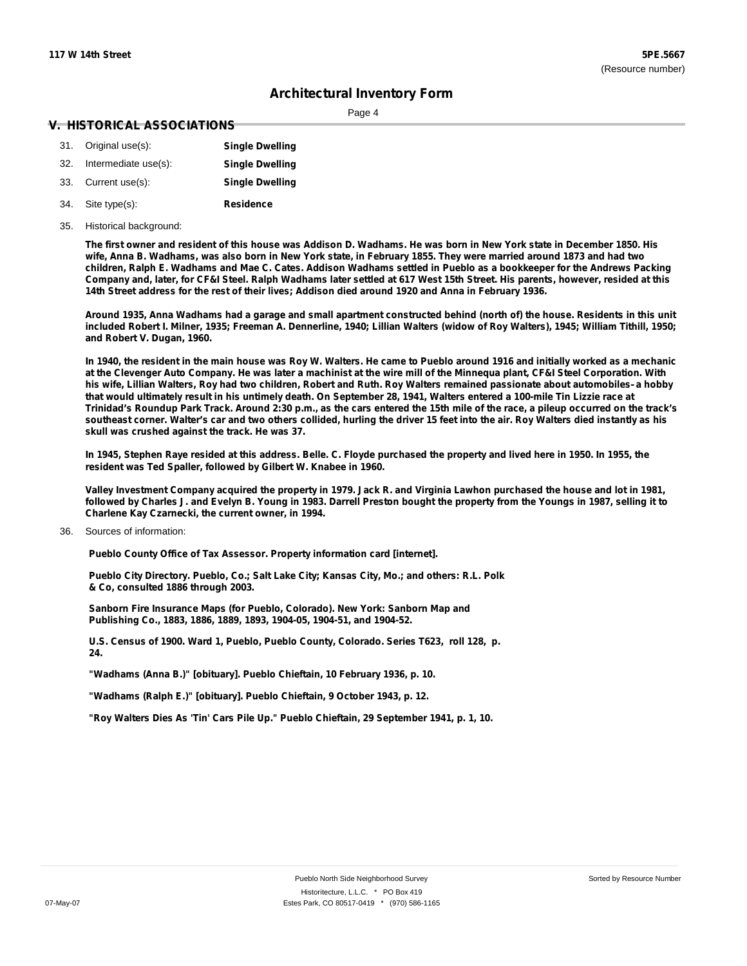Page 4

#### **V. HISTORICAL ASSOCIATIONS**

| 31. Original use(s):     | <b>Single Dwelling</b> |
|--------------------------|------------------------|
| 32. Intermediate use(s): | <b>Single Dwelling</b> |
| 33. Current use(s):      | <b>Single Dwelling</b> |
| 34. Site type(s):        | <b>Residence</b>       |

#### 35. Historical background:

The first owner and resident of this house was Addison D. Wadhams. He was born in New York state in December 1850. His wife, Anna B. Wadhams, was also born in New York state, in February 1855. They were married around 1873 and had two children, Ralph E. Wadhams and Mae C. Cates. Addison Wadhams settled in Pueblo as a bookkeeper for the Andrews Packing Company and, later, for CF&I Steel. Ralph Wadhams later settled at 617 West 15th Street. His parents, however, resided at this 14th Street address for the rest of their lives; Addison died around 1920 and Anna in February 1936.

Around 1935, Anna Wadhams had a garage and small apartment constructed behind (north of) the house. Residents in this unit included Robert I. Milner, 1935; Freeman A. Dennerline, 1940; Lillian Walters (widow of Roy Walters), 1945; William Tithill, 1950; **and Robert V. Dugan, 1960.**

In 1940, the resident in the main house was Roy W. Walters. He came to Pueblo around 1916 and initially worked as a mechanic at the Clevenger Auto Company. He was later a machinist at the wire mill of the Minnequa plant, CF&I Steel Corporation. With his wife, Lillian Walters, Roy had two children, Robert and Ruth. Roy Walters remained passionate about automobiles-a hobby that would ultimately result in his untimely death. On September 28, 1941, Walters entered a 100-mile Tin Lizzie race at Trinidad's Roundup Park Track. Around 2:30 p.m., as the cars entered the 15th mile of the race, a pileup occurred on the track's southeast corner. Walter's car and two others collided, hurling the driver 15 feet into the air. Roy Walters died instantly as his **skull was crushed against the track. He was 37.**

In 1945, Stephen Raye resided at this address. Belle. C. Floyde purchased the property and lived here in 1950. In 1955, the **resident was Ted Spaller, followed by Gilbert W. Knabee in 1960.**

Valley Investment Company acquired the property in 1979. Jack R. and Virginia Lawhon purchased the house and lot in 1981, followed by Charles J. and Evelyn B. Young in 1983. Darrell Preston bought the property from the Youngs in 1987, selling it to **Charlene Kay Czarnecki, the current owner, in 1994.**

#### Sources of information: 36.

**Pueblo County Office of Tax Assessor. Property information card [internet].**

**Pueblo City Directory. Pueblo, Co.; Salt Lake City; Kansas City, Mo.; and others: R.L. Polk & Co, consulted 1886 through 2003.**

**Sanborn Fire Insurance Maps (for Pueblo, Colorado). New York: Sanborn Map and Publishing Co., 1883, 1886, 1889, 1893, 1904-05, 1904-51, and 1904-52.**

**U.S. Census of 1900. Ward 1, Pueblo, Pueblo County, Colorado. Series T623, roll 128, p. 24.**

**"Wadhams (Anna B.)" [obituary]. Pueblo Chieftain, 10 February 1936, p. 10.**

**"Wadhams (Ralph E.)" [obituary]. Pueblo Chieftain, 9 October 1943, p. 12.**

**"Roy Walters Dies As 'Tin' Cars Pile Up." Pueblo Chieftain, 29 September 1941, p. 1, 10.**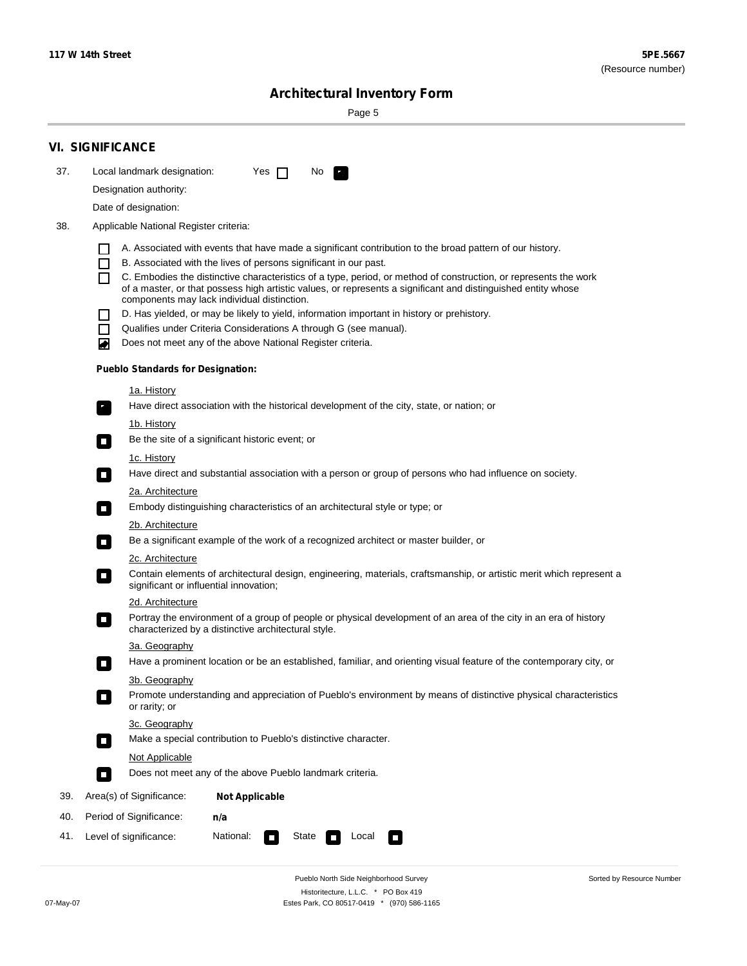÷

Sorted by Resource Number

# **Architectural Inventory Form**

Page 5

|                        | <b>VI. SIGNIFICANCE</b>                                                                                                                                                                |  |  |  |  |  |  |
|------------------------|----------------------------------------------------------------------------------------------------------------------------------------------------------------------------------------|--|--|--|--|--|--|
| 37.                    | Local landmark designation:<br>Yes $\Box$<br>No.<br>$\mathbf{F}$                                                                                                                       |  |  |  |  |  |  |
| Designation authority: |                                                                                                                                                                                        |  |  |  |  |  |  |
|                        | Date of designation:                                                                                                                                                                   |  |  |  |  |  |  |
| 38.                    | Applicable National Register criteria:                                                                                                                                                 |  |  |  |  |  |  |
|                        |                                                                                                                                                                                        |  |  |  |  |  |  |
|                        | A. Associated with events that have made a significant contribution to the broad pattern of our history.<br>B. Associated with the lives of persons significant in our past.<br>$\Box$ |  |  |  |  |  |  |
|                        | C. Embodies the distinctive characteristics of a type, period, or method of construction, or represents the work                                                                       |  |  |  |  |  |  |
|                        | of a master, or that possess high artistic values, or represents a significant and distinguished entity whose<br>components may lack individual distinction.                           |  |  |  |  |  |  |
|                        | D. Has yielded, or may be likely to yield, information important in history or prehistory.                                                                                             |  |  |  |  |  |  |
|                        | Qualifies under Criteria Considerations A through G (see manual).<br>П                                                                                                                 |  |  |  |  |  |  |
|                        | Does not meet any of the above National Register criteria.<br>₩                                                                                                                        |  |  |  |  |  |  |
|                        | <b>Pueblo Standards for Designation:</b>                                                                                                                                               |  |  |  |  |  |  |
|                        | 1a. History                                                                                                                                                                            |  |  |  |  |  |  |
|                        | Have direct association with the historical development of the city, state, or nation; or<br>$\mathcal{F}_1$                                                                           |  |  |  |  |  |  |
|                        | 1b. History                                                                                                                                                                            |  |  |  |  |  |  |
|                        | Be the site of a significant historic event; or<br>$\sim$                                                                                                                              |  |  |  |  |  |  |
|                        | 1c. History                                                                                                                                                                            |  |  |  |  |  |  |
|                        | Have direct and substantial association with a person or group of persons who had influence on society.<br>$\overline{\phantom{a}}$                                                    |  |  |  |  |  |  |
|                        | 2a. Architecture                                                                                                                                                                       |  |  |  |  |  |  |
|                        | Embody distinguishing characteristics of an architectural style or type; or<br>О                                                                                                       |  |  |  |  |  |  |
|                        | <u>2b. Architecture</u>                                                                                                                                                                |  |  |  |  |  |  |
|                        | Be a significant example of the work of a recognized architect or master builder, or<br>$\mathcal{L}_{\mathcal{A}}$                                                                    |  |  |  |  |  |  |
|                        | 2c. Architecture                                                                                                                                                                       |  |  |  |  |  |  |
|                        | Contain elements of architectural design, engineering, materials, craftsmanship, or artistic merit which represent a<br>$\blacksquare$<br>significant or influential innovation;       |  |  |  |  |  |  |
|                        | 2d. Architecture                                                                                                                                                                       |  |  |  |  |  |  |
|                        | Portray the environment of a group of people or physical development of an area of the city in an era of history<br>$\Box$<br>characterized by a distinctive architectural style.      |  |  |  |  |  |  |
|                        | 3a. Geography                                                                                                                                                                          |  |  |  |  |  |  |
|                        | Have a prominent location or be an established, familiar, and orienting visual feature of the contemporary city, or                                                                    |  |  |  |  |  |  |
|                        | 3b. Geography                                                                                                                                                                          |  |  |  |  |  |  |
|                        | Promote understanding and appreciation of Pueblo's environment by means of distinctive physical characteristics<br>I.<br>or rarity; or                                                 |  |  |  |  |  |  |
|                        | 3c. Geography                                                                                                                                                                          |  |  |  |  |  |  |
|                        | Make a special contribution to Pueblo's distinctive character.<br>$\mathcal{L}_{\mathcal{A}}$                                                                                          |  |  |  |  |  |  |
|                        | Not Applicable                                                                                                                                                                         |  |  |  |  |  |  |
|                        | Does not meet any of the above Pueblo landmark criteria.<br>O                                                                                                                          |  |  |  |  |  |  |
| 39.                    | Area(s) of Significance:<br><b>Not Applicable</b>                                                                                                                                      |  |  |  |  |  |  |
| 40.                    | Period of Significance:<br>n/a                                                                                                                                                         |  |  |  |  |  |  |
| 41.                    | National:<br>Level of significance:<br>State<br>Local<br>О<br>$\sim$                                                                                                                   |  |  |  |  |  |  |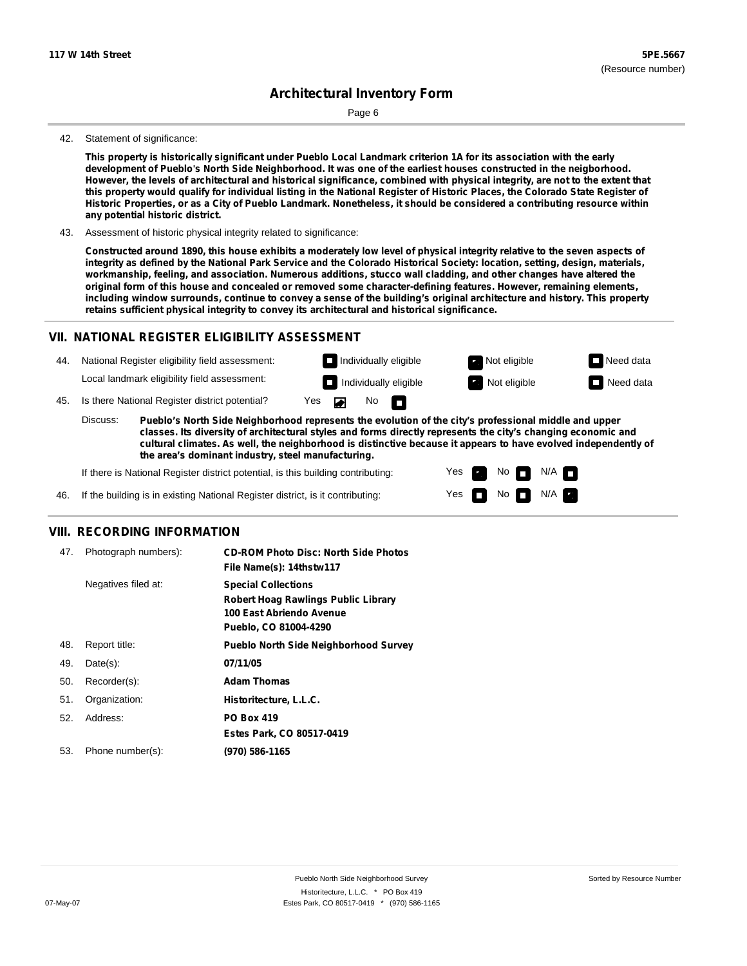Page 6

#### 42. Statement of significance:

This property is historically significant under Pueblo Local Landmark criterion 1A for its association with the early development of Pueblo's North Side Neighborhood. It was one of the earliest houses constructed in the neigborhood. However, the levels of architectural and historical significance, combined with physical integrity, are not to the extent that this property would qualify for individual listing in the National Register of Historic Places, the Colorado State Register of Historic Properties, or as a City of Pueblo Landmark. Nonetheless, it should be considered a contributing resource within **any potential historic district.**

43. Assessment of historic physical integrity related to significance:

Constructed around 1890, this house exhibits a moderately low level of physical integrity relative to the seven aspects of integrity as defined by the National Park Service and the Colorado Historical Society: location, setting, design, materials, **workmanship, feeling, and association. Numerous additions, stucco wall cladding, and other changes have altered the original form of this house and concealed or removed some character-defining features. However, remaining elements,** including window surrounds, continue to convey a sense of the building's original architecture and history. This property **retains sufficient physical integrity to convey its architectural and historical significance.**

#### **VII. NATIONAL REGISTER ELIGIBILITY ASSESSMENT**

National Register eligibility field assessment: 44. Local landmark eligibility field assessment:

 $No$ 



45. Is there National Register district potential? Yes

**Pueblo's North Side Neighborhood represents the evolution of the city's professional middle and upper classes. Its diversity of architectural styles and forms directly represents the city's changing economic and cultural climates. As well, the neighborhood is distinctive because it appears to have evolved independently of the area's dominant industry, steel manufacturing.** Discuss:

 $\blacksquare$ 

If there is National Register district potential, is this building contributing:



46. If the building is in existing National Register district, is it contributing:

## **VIII. RECORDING INFORMATION**

| 47. | Photograph numbers): | <b>CD-ROM Photo Disc: North Side Photos</b><br>File Name(s): 14thstw117                                                       |
|-----|----------------------|-------------------------------------------------------------------------------------------------------------------------------|
|     | Negatives filed at:  | <b>Special Collections</b><br><b>Robert Hoag Rawlings Public Library</b><br>100 East Abriendo Avenue<br>Pueblo, CO 81004-4290 |
| 48. | Report title:        | <b>Pueblo North Side Neighborhood Survey</b>                                                                                  |
| 49. | $Date(s)$ :          | 07/11/05                                                                                                                      |
| 50. | Recorder(s):         | <b>Adam Thomas</b>                                                                                                            |
| 51. | Organization:        | Historitecture, L.L.C.                                                                                                        |
| 52. | Address:             | <b>PO Box 419</b>                                                                                                             |
|     |                      | Estes Park, CO 80517-0419                                                                                                     |
| 53. | Phone number(s):     | (970) 586-1165                                                                                                                |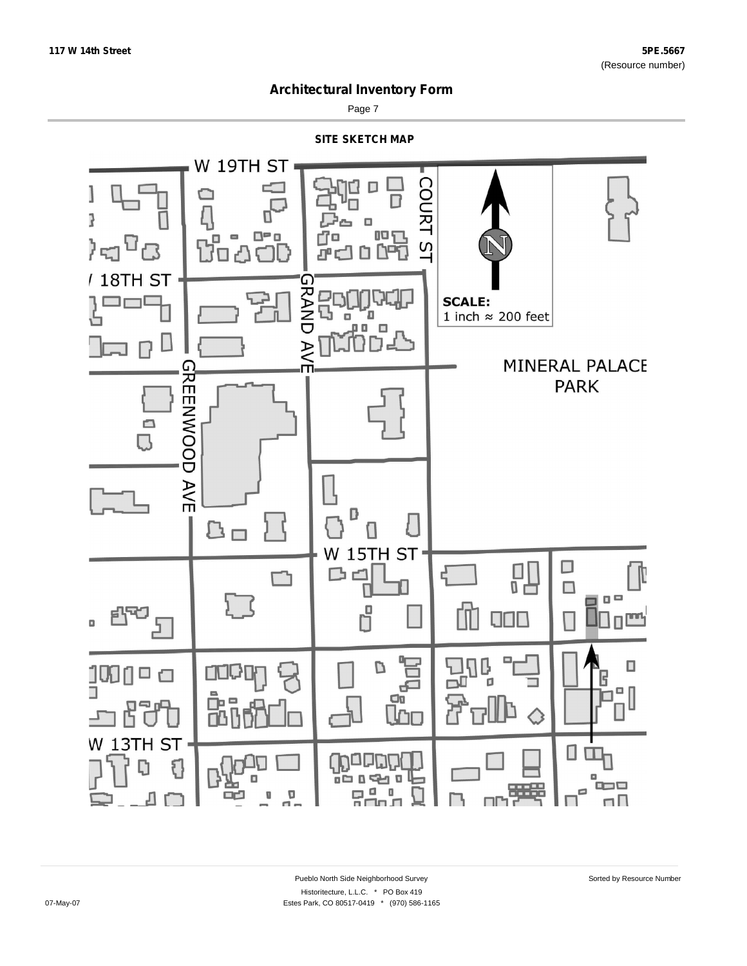

Page 7